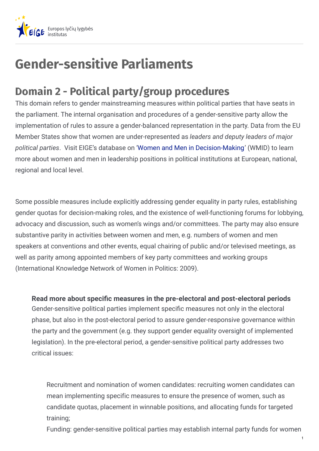

## **Gender-sensitive Parliaments**

## **Domain 2 - Political party/group procedures**

This domain refers to gender mainstreaming measures within political parties that have seats in the parliament. The internal organisation and procedures of a gender-sensitive party allow the implementation of rules to assure a gender-balanced representation in the party. Data from the EU Member States show that women are under-represented as *leaders and deputy leaders of major political parties*. Visit EIGE's database on 'Women and Men in [Decision-Making](https://eige.europa.eu/gender-statistics/dgs/browse/wmidm)' (WMID) to learn more about women and men in leadership positions in political institutions at European, national, regional and local level.

Some possible measures include explicitly addressing gender equality in party rules, establishing gender quotas for decision-making roles, and the existence of well-functioning forums for lobbying, advocacy and discussion, such as women's wings and/or committees. The party may also ensure substantive parity in activities between women and men, e.g. numbers of women and men speakers at conventions and other events, equal chairing of public and/or televised meetings, as well as parity among appointed members of key party committees and working groups (International Knowledge Network of Women in Politics: 2009).

Gender-sensitive political parties implement specific measures not only in the electoral phase, but also in the post-electoral period to assure gender-responsive governance within the party and the government (e.g. they support gender equality oversight of implemented legislation). In the pre-electoral period, a gender-sensitive political party addresses two critical issues: **Read** more about specific measures in the pre-electoral and post-electoral periods

Recruitment and nomination of women candidates: recruiting women candidates can mean implementing specific measures to ensure the presence of women, such as candidate quotas, placement in winnable positions, and allocating funds for targeted training;

Funding: gender-sensitive political parties may establish internal party funds for women